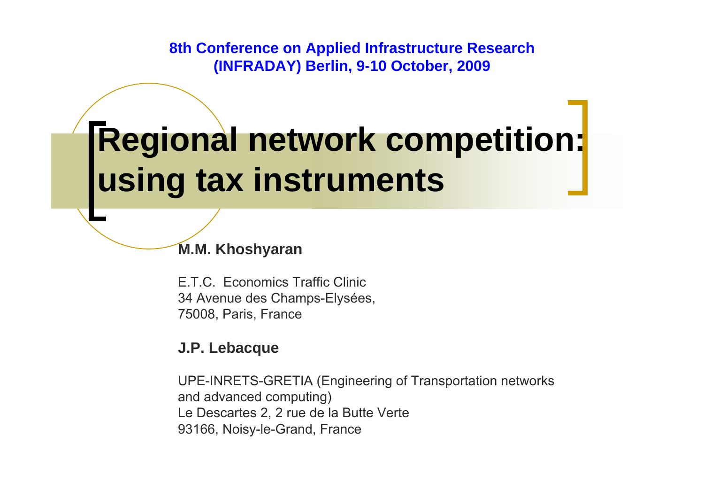**8th Conference on Applied Infrastructure Research (INFRADAY) Berlin, 9-10 October, 2009**

## **Regional network competition: using tax instruments**

**M.M. Khoshyaran**

E.T.C. Economics Traffic Clinic 34 Avenue des Champs-Elysées, 75008, Paris, France

#### **J.P. Lebacque**

UPE-INRETS-GRETIA (Engineering of Transportation networks and advanced computing) Le Descartes 2, 2 rue de la Butte Verte 93166, Noisy-le-Grand, France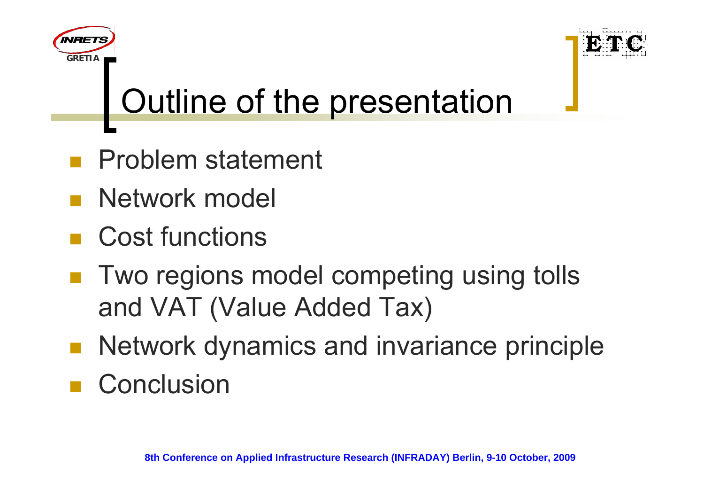

# Outline of the presentation

- Problem statement
- p. Network model

**GRETIA**

*INRET* 

- Cost functions
- $\mathcal{L}_{\mathcal{A}}$  Two regions model competing using tolls and VAT (Value Added Tax)
- Network dynamics and invariance principle
- Conclusion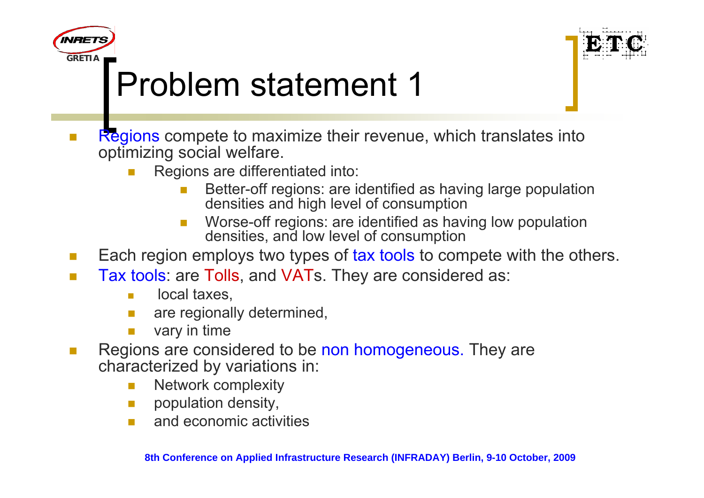



## Problem statement 1

- **The State**  Regions compete to maximize their revenue, which translates into optimizing social welfare.
	- Regions are differentiated into:
		- $\mathcal{C}^{\mathcal{A}}$  Better-off regions: are identified as having large population densities and high level of consumption
		- П Worse-off regions: are identified as having low population densities, and low level of consumption
- $\mathcal{L}_{\mathcal{A}}$ Each region employs two types of tax tools to compete with the others.
- $\sim$  Tax tools: are Tolls, and VATs. They are considered as:
	- $\mathcal{L}_{\mathcal{A}}$ local taxes,
	- F are regionally determined,
	- vary in time
- $\mathcal{C}^{\mathcal{A}}$  Regions are considered to be non homogeneous. They are characterized by variations in:
	- $\mathcal{L}_{\mathcal{A}}$ Network complexity
	- $\mathcal{L}_{\mathcal{A}}$ population density,
	- $\mathcal{L}(\mathcal{A})$ and economic activities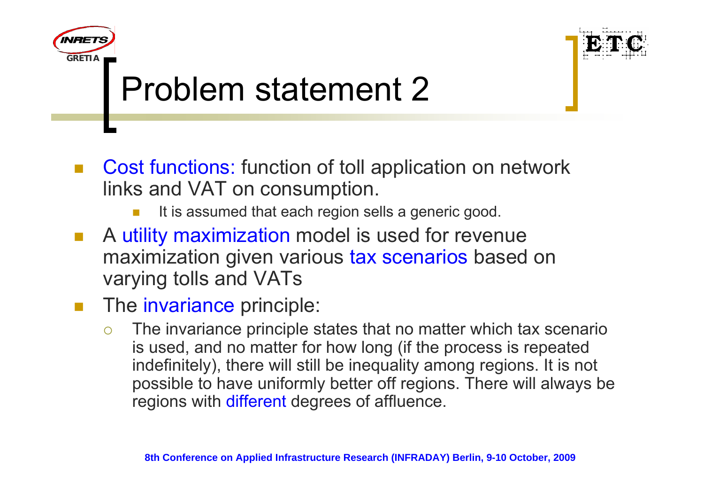

## Problem statement 2

- Cost functions: function of toll application on network links and VAT on consumption.
	- F It is assumed that each region sells a generic good.
- $\mathcal{L}_{\mathcal{A}}$  A utility maximization model is used for revenue maximization given various tax scenarios based on varying tolls and VATs
- $\sim$ The invariance principle:

**GRETIA**

*INRET* 

 $\bigcirc$  The invariance principle states that no matter which tax scenario is used, and no matter for how long (if the process is repeated indefinitely), there will still be inequality among regions. It is not possible to have uniformly better off regions. There will always be regions with different degrees of affluence.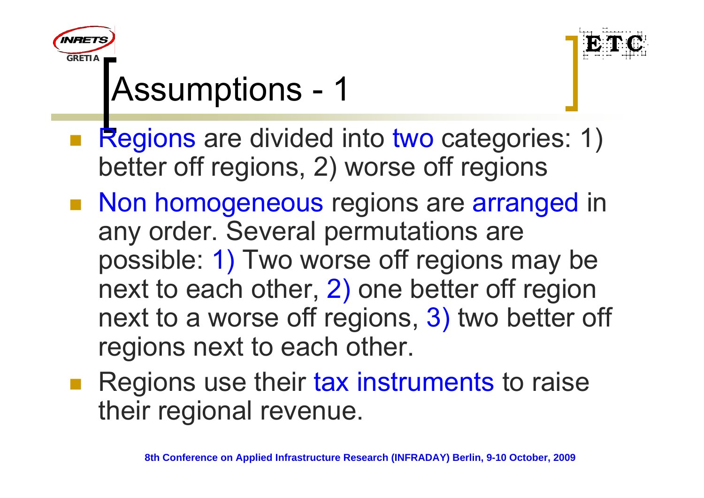



## Assumptions - 1

- Regions are divided into two categories: 1) better off regions, 2) worse off regions
- Non homogeneous regions are arranged in any order. Several permutations are possible: 1) Two worse off regions may be next to each other, 2) one better off region next to a worse off regions, 3) two better off regions next to each other.
- **Regions use their tax instruments to raise** their regional revenue.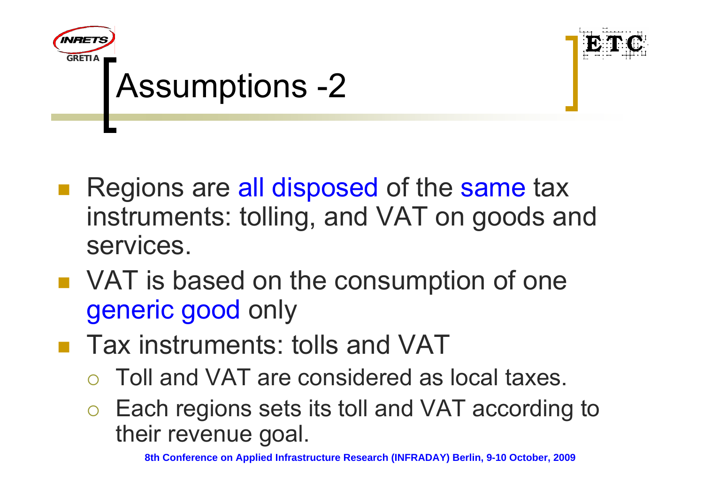

- Regions are all disposed of the same tax instruments: tolling, and VAT on goods and services.
- VAT is based on the consumption of one generic good only
- Tax instruments: tolls and VAT
	- ${\color{black} \bigcirc}$ Toll and VAT are considered as local taxes.
	- ${\color{blue}\bigcirc}$  Each regions sets its toll and VAT according to their revenue goal.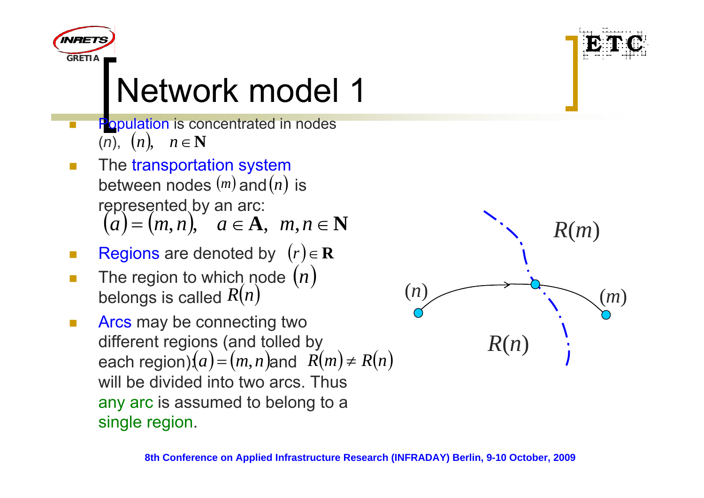



- F **Population is concentrated in nodes** (*n*), (*n*), *<sup>n</sup>*<sup>∈</sup>**<sup>N</sup>**
- T. The transportation system between nodes  $\left(m\right)$  and  $\left(n\right)$  is represented by an arc:  $(a)=(m,n), a \in A, m, n \in \mathbb{N}$
- $\sim$ ■ Regions are denoted by  $(r) \in \mathbf{R}$
- $\Box$ **The region to which node** belongs is called  $R(n)$ (*n*) *<sup>R</sup>*(*n*)
- $\mathcal{L}_{\mathcal{A}}$  Arcs may be connecting two different regions (and tolled by each region): $(a)$  =  $(m, n)$ and  $R(m) \neq R(n)$ will be divided into two arcs. Thus any arc is assumed to belong to a single region.

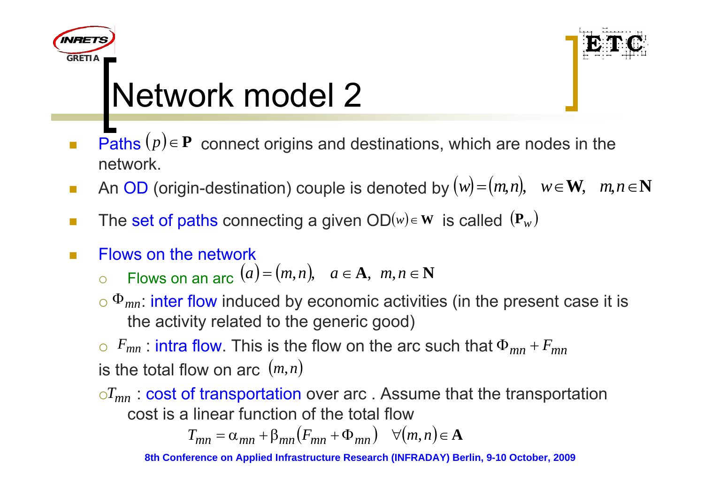



- $\Box$ **Paths**  $(p) \in \mathbf{P}$  connect origins and destinations, which are nodes in the network.
- **The State** ■ An OD (origin-destination) couple is denoted by  $(w) = (m, n)$ ,  $w \in W$ ,  $m, n \in N$
- **The State** ■ The set of paths connecting a given  $OD(w) \in W$  is called  $(P_w)$
- $\Box$ Flows on the network

$$
\circ \quad \text{Flows on an arc } (a) = (m, n), \quad a \in \mathbf{A}, \ m, n \in \mathbf{N}
$$

 $\circ$   $\Phi_{mn}$ : inter flow induced by economic activities (in the present case it is the activity related to the generic good)

 $\circ$   $F_{mn}$  : intra flow. This is the flow on the arc such that  $\Phi_{mn}$  +  $F_{mn}$ is the total flow on arc (*<sup>m</sup>*,*<sup>n</sup>*)

 ${\circ}T_{mn}$  : cost of transportation over arc . Assume that the transportation cost is a linear function of the total flow

$$
T_{mn} = \alpha_{mn} + \beta_{mn}(F_{mn} + \Phi_{mn}) \quad \forall (m, n) \in \mathbf{A}
$$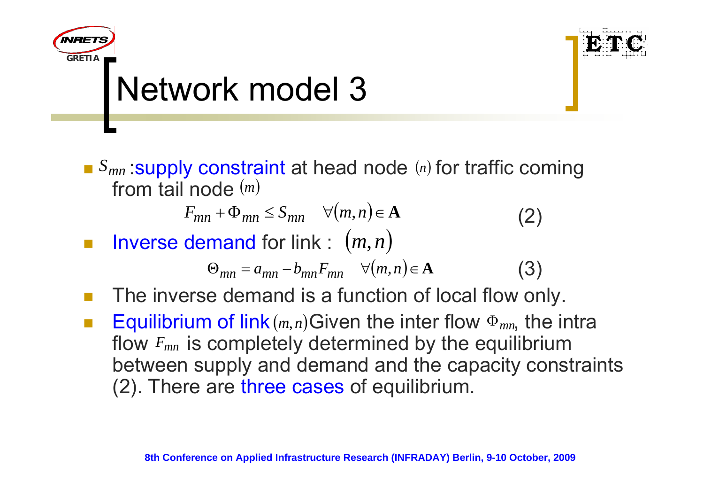

**GRETIA**

*INRET* 

■ *S<sub>mn</sub>* : supply constraint at head node (n) for traffic coming from tail node (*m*)

$$
F_{mn} + \Phi_{mn} \le S_{mn} \quad \forall (m, n) \in \mathbf{A}
$$
 (2)

 $\mathbb{R}^n$ **I** Inverse demand for link :  $(m, n)$ 

$$
\Theta_{mn} = a_{mn} - b_{mn} F_{mn} \quad \forall (m, n) \in \mathbf{A}
$$
 (3)

- $\mathbb{R}^n$ The inverse demand is a function of local flow only.
- $\mathbb{R}^n$ **Equilibrium of link**  $(m, n)$  Given the inter flow  $\Phi_{mn}$ , the intra flow  $F_{mn}$  is completely determined by the equilibrium between supply and demand and the capacity constraints (2). There are three cases of equilibrium.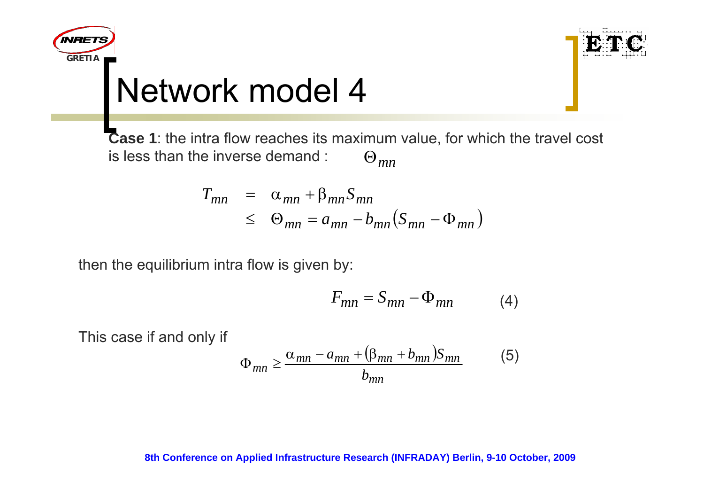



**Case 1**: the intra flow reaches its maximum value, for which the travel cost is less than the inverse demand : Θ*mn*

$$
T_{mn} = \alpha_{mn} + \beta_{mn} S_{mn}
$$
  

$$
\leq \Theta_{mn} = a_{mn} - b_{mn} (S_{mn} - \Phi_{mn})
$$

then the equilibrium intra flow is given by:

$$
F_{mn} = S_{mn} - \Phi_{mn} \tag{4}
$$

This case if and only if

$$
\Phi_{mn} \ge \frac{\alpha_{mn} - a_{mn} + (\beta_{mn} + b_{mn})S_{mn}}{b_{mn}}
$$
(5)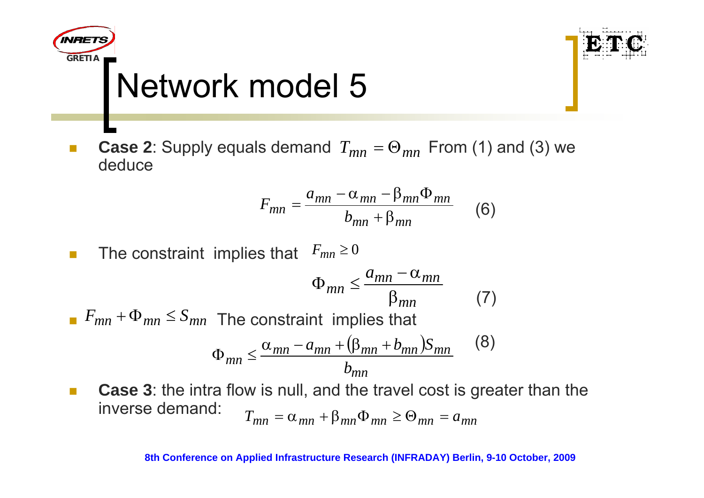



 $\Box$ **Case 2**: Supply equals demand  $T_{mn} = \Theta_{mn}$  From (1) and (3) we deduce

$$
F_{mn} = \frac{a_{mn} - \alpha_{mn} - \beta_{mn}\Phi_{mn}}{b_{mn} + \beta_{mn}}
$$
(6)

 $\mathcal{C}^{\mathcal{A}}$ **The constraint implies that**  $F_{mn} \ge 0$ 

$$
\Phi_{mn} \le \frac{a_{mn} - \alpha_{mn}}{\beta_{mn}} \tag{7}
$$

*F*<sub>mn</sub> +  $\Phi$ <sub>mn</sub>  $\leq$  *S*<sub>mn</sub> The constraint implies that

$$
\Phi_{mn} \le \frac{\alpha_{mn} - a_{mn} + (\beta_{mn} + b_{mn})S_{mn}}{b_{mn}} \tag{8}
$$

 $\overline{\phantom{a}}$  **Case 3**: the intra flow is null, and the travel cost is greater than the inverse demand:  $T_{mn} = \alpha_{mn} + \beta_{mn} \Phi_{mn} \geq \Theta_{mn} = a_{mn}$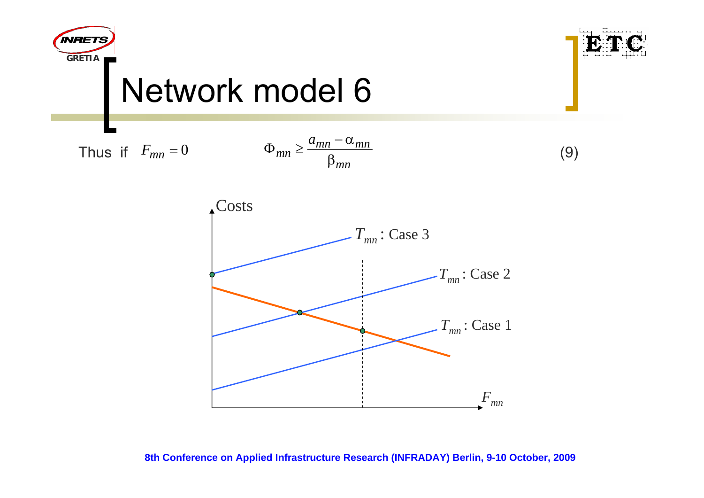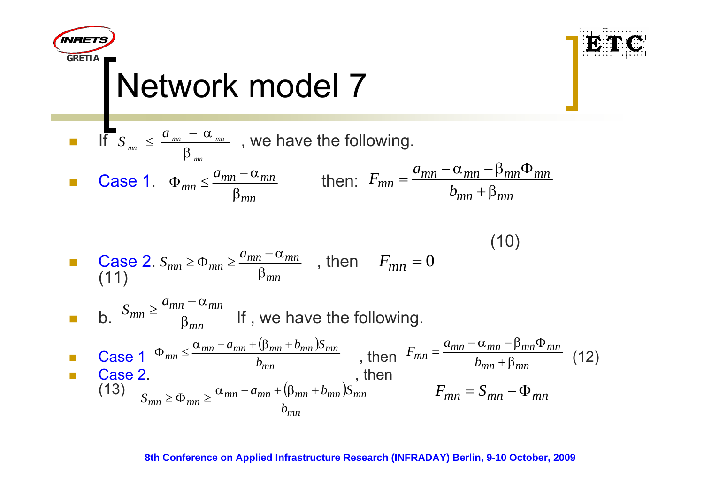| Matrix                                                                                                                                                                                                                                                                                                                                                                                                                                                             | Network model 7 | Exercise 1 |
|--------------------------------------------------------------------------------------------------------------------------------------------------------------------------------------------------------------------------------------------------------------------------------------------------------------------------------------------------------------------------------------------------------------------------------------------------------------------|-----------------|------------|
| \n <b>EXECUTE:</b> \n $S_{nm} \leq \frac{a_{mn} - \alpha_{mn}}{\beta_{mn}}$ \n $S_{nm} \leq \frac{a_{mn} - \alpha_{mn}}{\beta_{mn}}$ \n $S_{nm} \geq \frac{a_{mn} - \alpha_{mn}}{\beta_{mn}}$ \n $S_{nm} = \frac{a_{mn} - \alpha_{mn} - \beta_{mn} \Phi_{mn}}{b_{mn} + \beta_{mn}}$ \n                                                                                                                                                                             |                 |            |
| \n <b>Case 2.</b> \n $S_{mn} \geq \frac{a_{mn} - \alpha_{mn}}{\beta_{mn}}$ \n $S_{mn} \geq \frac{a_{mn} - \alpha_{mn}}{\beta_{mn}}$ \n $S_{mn} \geq \frac{a_{mn} - \alpha_{mn}}{\beta_{mn}}$ \n $S_{mn} \geq \frac{a_{mn} - a_{mn}}{b_{mn}}$ \n $S_{mn} \geq \frac{a_{mn} - a_{mn} + (\beta_{mn} + b_{mn})S_{mn}}{b_{mn}}$ \n $S_{mn} \geq \alpha_{mn} \geq \frac{\alpha_{mn} - a_{mn} + (\beta_{mn} + b_{mn})S_{mn}}{b_{mn}}$ \n $S_{mn} = S_{mn} - \Phi_{mn}$ \n |                 |            |

 $\mathbf{C}$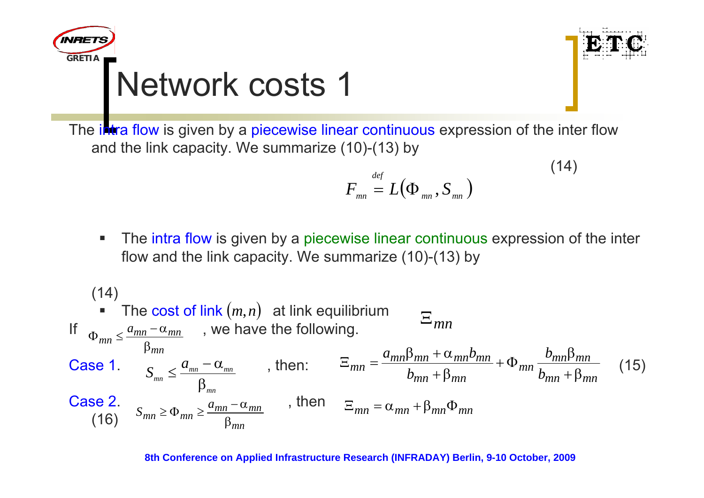



 $(14)$ 

The i**ntra flow** is given by a piecewise linear continuous expression of the inter flow and the link capacity. We summarize (10)-(13) by

$$
F_{_{mn}}\stackrel{\rm\scriptscriptstyle def}{=}L\bigl(\Phi_{_{mn}},S_{_{mn}}\bigr)
$$

 $\blacksquare$ **The intra flow is given by a piecewise linear continuous expression of the inter** flow and the link capacity. We summarize (10)-(13) by

(14)  
\n• The cost of link 
$$
(m, n)
$$
 at link equilibrium  
\nIf  $\Phi_{mn} \leq \frac{a_{mn} - \alpha_{mn}}{\beta_{mn}}$ , we have the following.  
\n**Case 1.**  $S_{mn} \leq \frac{a_{mn} - \alpha_{mn}}{\beta_{mn}}$ , then:  $\Xi_{mn} = \frac{a_{mn}\beta_{mn} + \alpha_{mn}b_{mn}}{b_{mn} + \beta_{mn}} + \Phi_{mn} \frac{b_{mn}\beta_{mn}}{b_{mn} + \beta_{mn}}$  (15)  
\n**Case 2.**  $S_{mn} \geq \Phi_{mn} \geq \frac{a_{mn} - \alpha_{mn}}{\beta_{mn}}$ , then  $\Xi_{mn} = \alpha_{mn} + \beta_{mn}\Phi_{mn}$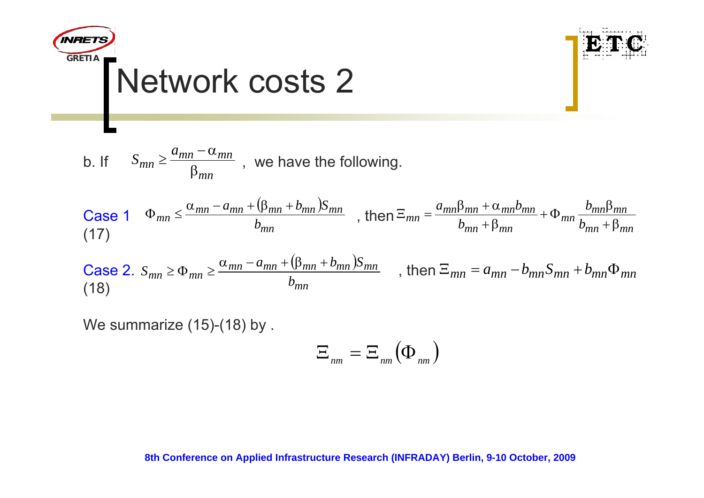



Case 1 
$$
\Phi_{mn} \leq \frac{\alpha_{mn} - a_{mn} + (\beta_{mn} + b_{mn})S_{mn}}{b_{mn}}
$$
, then  $\Xi_{mn} = \frac{a_{mn}\beta_{mn} + \alpha_{mn}b_{mn}}{b_{mn} + \beta_{mn}} + \Phi_{mn} \frac{b_{mn}\beta_{mn}}{b_{mn} + \beta_{mn}}$ 

Case 2. 
$$
S_{mn} \ge \Phi_{mn} \ge \frac{\alpha_{mn} - a_{mn} + (\beta_{mn} + b_{mn})S_{mn}}{b_{mn}}
$$
, then  $\Xi_{mn} = a_{mn} - b_{mn}S_{mn} + b_{mn}\Phi_{mn}$  (18)

We summarize (15)-(18) by .

$$
\Xi_{nm}=\Xi_{nm}(\Phi_{nm})
$$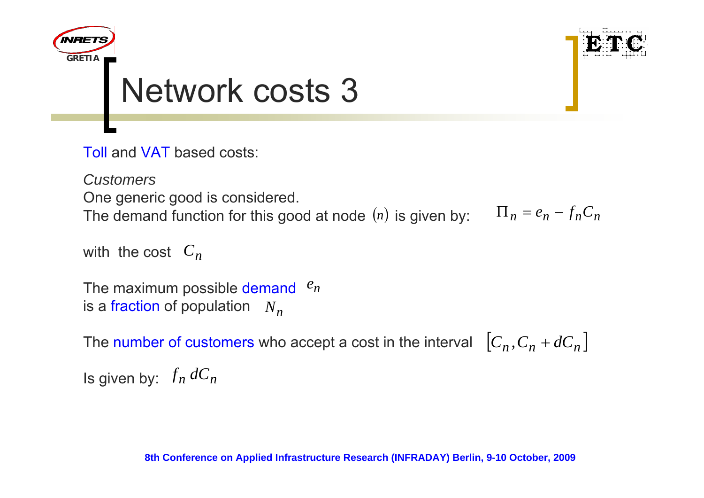



Toll and VAT based costs:

*Customers*One generic good is considered. The demand function for this good at node  $(n)$  is given by:  $\qquad \Pi_{n} = e_{n} - f_{n}C_{n}$ 

```
with the cost 
Cn
```

```
The maximum possible demand \ ^{e}_{n}is a fraction of population \;N^{}_{n}\;
```
The number of customers who accept a cost in the interval  $\left[C_{n},C_{n}+dC_{n}\right]$ 

Is given by:  $\ f_n \ dC_n$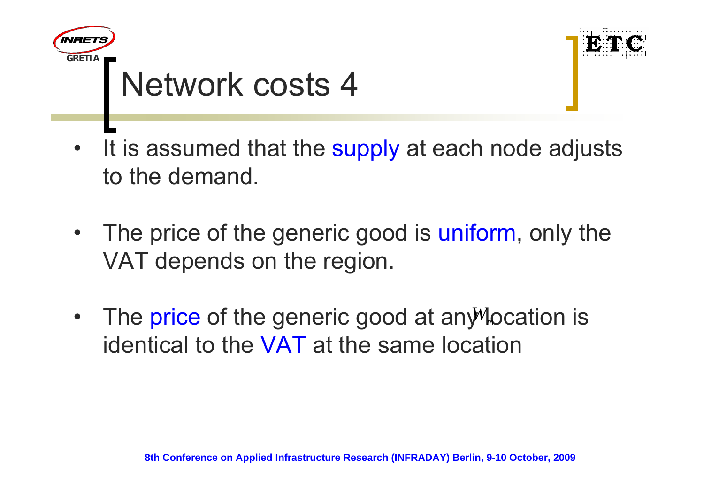



- •It is assumed that the supply at each node adjusts to the demand.
- •The price of the generic good is uniform, only the VAT depends on the region.
- $\bullet$ The price of the generic good at any *Mocation* is identical to the VAT at the same location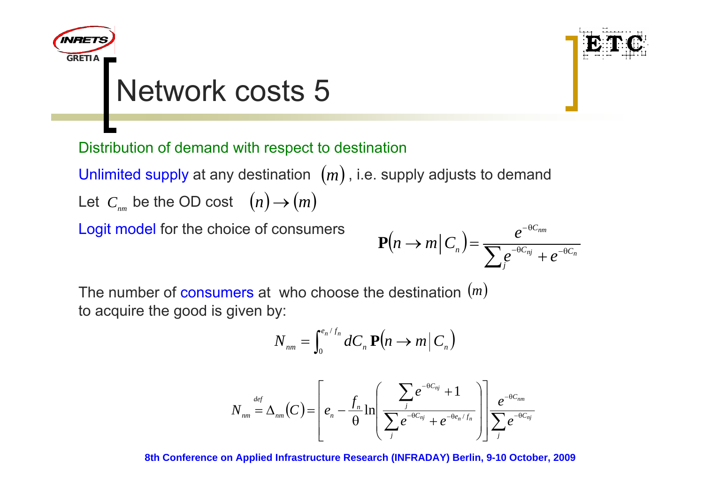



Distribution of demand with respect to destination

 $\sf Unlimited$  supply at any destination  $\;(m)$  , i.e. supply adjusts to demand Let  $\,C_{_{nm}}$  be the OD cost  $\;\;(n)$   $\!\to$   $\!(m)$ 

Logit model for the choice of consumers

$$
\mathbf{P}(n \to m \mid C_n) = \frac{e^{-\theta C_{nm}}}{\sum_{j} e^{-\theta C_{nj}} + e^{-\theta C_n}}
$$

The number of consumers at who choose the destination (*m*) to acquire the good is given by:

$$
N_{nm} = \int_0^{e_n/f_n} dC_n \, \mathbf{P}\big(n \to m\big|\, C_n\big)
$$

$$
N_{nm} = \Delta_{nm}(C) = \left[ e_n - \frac{f_n}{\theta} \ln \left( \frac{\sum_{j} e^{-\theta C_{nj}} + 1}{\sum_{j} e^{-\theta C_{nj}} + e^{-\theta e_n/f_n}} \right) \right] \frac{e^{-\theta C_{nm}}}{\sum_{j} e^{-\theta C_{nj}}}
$$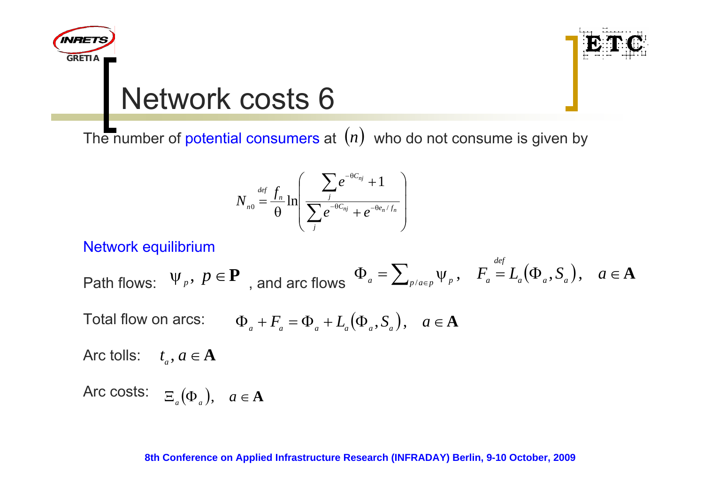



The number of potential consumers at  $(n)$  who do not consume is given by

$$
N_{n0} = \frac{f_n}{\theta} \ln \left( \frac{\sum_j e^{-\theta C_{nj}} + 1}{\sum_j e^{-\theta C_{nj}} + e^{-\theta e_n/f_n}} \right)
$$

#### Network equilibrium

 $\mathsf{Path} \text{ flows: } \Psi_p, \ p \in \mathbf{P} \text{ and } \text{arc flows } \Phi_a = \sum_{p/a \in p} \Psi_p, \quad F_a = L_a(\Phi_a, S_a), \quad a \in \mathbf{A} \text{ and } \text{and } \text{arc flows } \Phi_a = \sum_{p/a \in p} \Psi_p, \quad b \in \mathbf{P} \text{ and } \text{arc flows } \Phi_a = \sum_{p/a \in p} \Psi_p, \quad b \in \mathbf{P} \text{ and } \text{arc flows } \Phi_a = \sum_{p/a \in p} \Psi_p, \quad b \in \mathbf{P} \text{ and } \text{arc flows } \Phi_a = \sum_{p$ 

Total flow on arcs: 
$$
\Phi_a + F_a = \Phi_a + L_a(\Phi_a, S_a), \quad a \in \mathbf{A}
$$

Arc tolls:  $t_{\scriptscriptstyle{a}}^{}$  ,  $a$   $\in$   ${\bf A}$ 

 $\begin{array}{ll} \mathsf{Arc\; costs:} & \Xi_{_a}(\Phi_{_a}), & a\in\mathbf{A} \end{array}$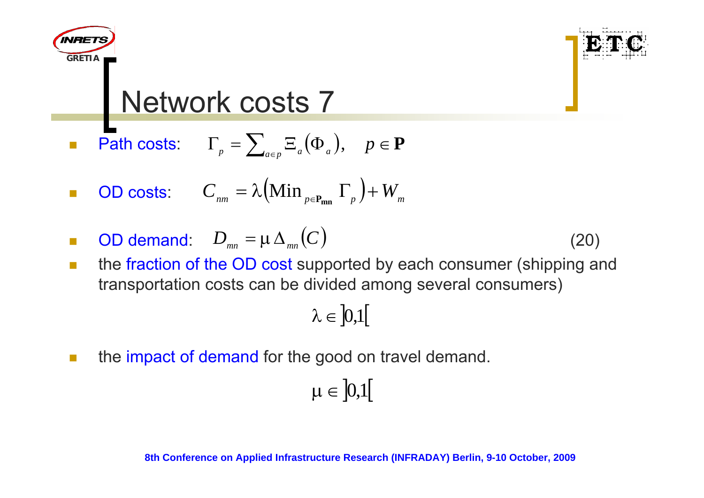

- $\mathbb{R}^3$ **Path costs:**  $\qquadGamma_p = \sum_{a \in p} \Xi_a(\Phi_a), \quad p \in \mathbf{P}$
- $\overline{\phantom{a}}$ **OD costs:**  $C_{nm} = \lambda \left(\text{Min}_{p \in \mathbf{P}_{mn}} \Gamma_p \right) + W_m$
- $\mathcal{L}_{\mathcal{A}}$  $D$  **D** demand:  $D$ <sub>*mn*</sub> = μΔ<sub>*mn*</sub> (*C*) (20)

**GRETIA**

**INRET** 

- 
- $\mathbb{R}^2$  the fraction of the OD cost supported by each consumer (shipping and transportation costs can be divided among several consumers)

$$
\lambda\in\left]0,1\right[
$$

**The State** the impact of demand for the good on travel demand.

$$
\mu\in\left]0,1\right[
$$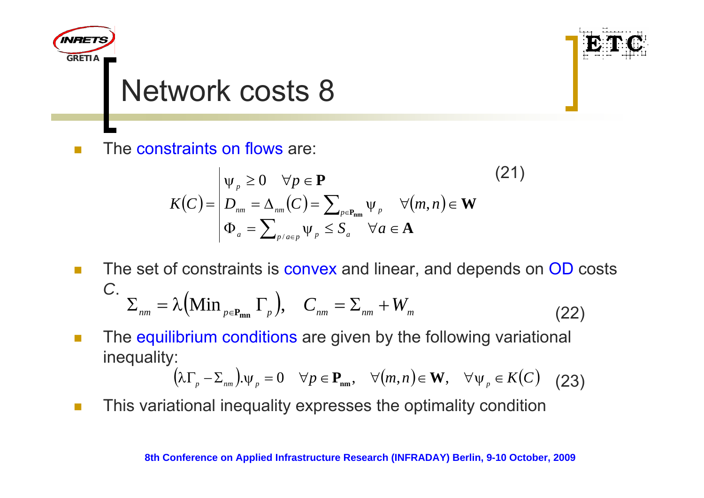

 $\Box$ The constraints on flows are:

$$
K(C) = \begin{vmatrix} \psi_{p} \ge 0 & \forall p \in \mathbf{P} \\ D_{nm} = \Delta_{nm}(C) = \sum_{p \in \mathbf{P}_{nm}} \psi_{p} & \forall (m, n) \in \mathbf{W} \\ \Phi_{a} = \sum_{p/a \in p} \psi_{p} \le S_{a} & \forall a \in \mathbf{A} \end{vmatrix}
$$
 (21)

- **The State**  The set of constraints is convex and linear, and depends on OD costs *C*. (22)  $\sum_{nm} \sum_{m} \lambda \left( \text{Min}_{p \in P_{mn}} \Gamma_p \right), \quad C_{nm} = \sum_{nm} + W_m$
- $\mathcal{L}_{\mathcal{A}}$  The equilibrium conditions are given by the following variational inequality:

$$
(\lambda \Gamma_p - \Sigma_{nm}) \Psi_p = 0 \quad \forall p \in \mathbf{P}_{nm}, \quad \forall (m, n) \in \mathbf{W}, \quad \forall \Psi_p \in K(C) \quad (23)
$$

**In** This variational inequality expresses the optimality condition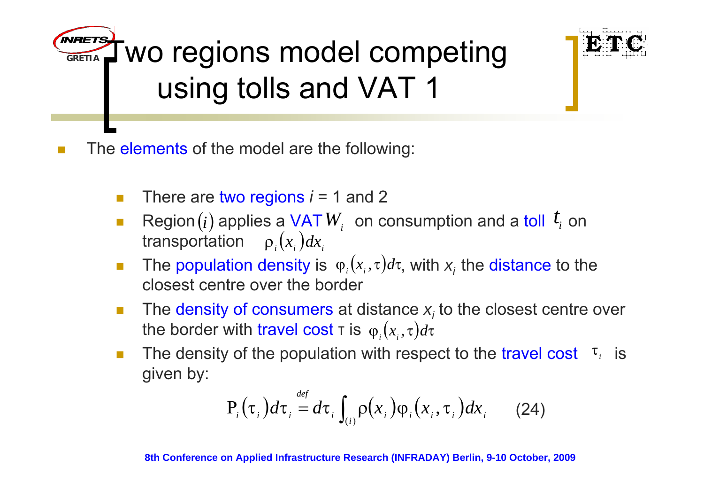**GRETIATINFIETS** WO regions model competing using tolls and VAT 1



 $\sim$ The elements of the model are the following:

- $\overline{\mathcal{A}}$ There are two regions *i* = 1 and 2
- Π Region  $(i)$  applies a VAT  $W_i$  on consumption and a toll  $t_i$  on transportation  $\rho_i(x_i)dx_i$ transportation  $\rho(x_i)dx_i$
- $\overline{\mathcal{A}}$ **The population density is**  $\varphi_i(x_i, \tau) d\tau$ , with  $x_i$  the distance to the closest centre over the border
- **COL** ■ The density of consumers at distance *x<sub>i</sub>* to the closest centre over the border with travel cost τ is  $\varphi_i(x_i, \tau) d\tau$
- **COL The density of the population with respect to the travel cost**  $\tau_i$  is given by:

$$
P_i(\tau_i) d\tau_i = d\tau_i \int_{(i)} \rho(x_i) \varphi_i(x_i, \tau_i) dx_i \qquad (24)
$$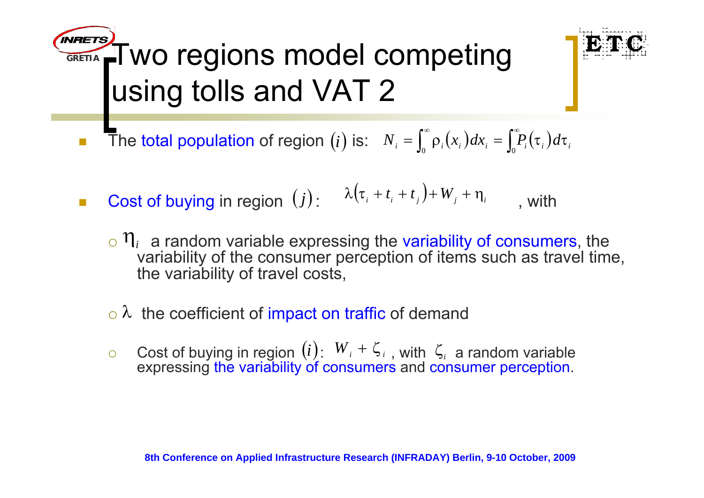**GRETIA**<sub>≏F</sub>Two regions model competing using tolls and VAT 2



- Π ■ The total population of region  $(i)$  is:  $N_i = \int_0^\infty \rho_i(x_i) dx_i = \int_0^\infty P_i(\tau_i) d\tau_i$
- $\mathcal{L}_{\mathcal{A}}$ **Cost of buying in region**  $(j)$ :  $\lambda(\tau_i + t_i + t_j) + W_j + \eta_i$ , with
	- ${}_{\circ}$   $\eta$ <sub>*i*</sub> a random variable expressing the variability of consumers, the variability of the consumer perception of items such as travel time, the variability of travel costs,
	- $\circ \lambda$  the coefficient of impact on traffic of demand
	- $\circ$ Cost of buying in region  $(l)$ :  $W_i + \zeta_i$ , with  $\zeta_i$  a random variable expressing the variability of consumers and consumer perception.  $(i)$   $\in$   $W_{i}$  +  $\zeta_{i}$  , with  $\zeta_{i}$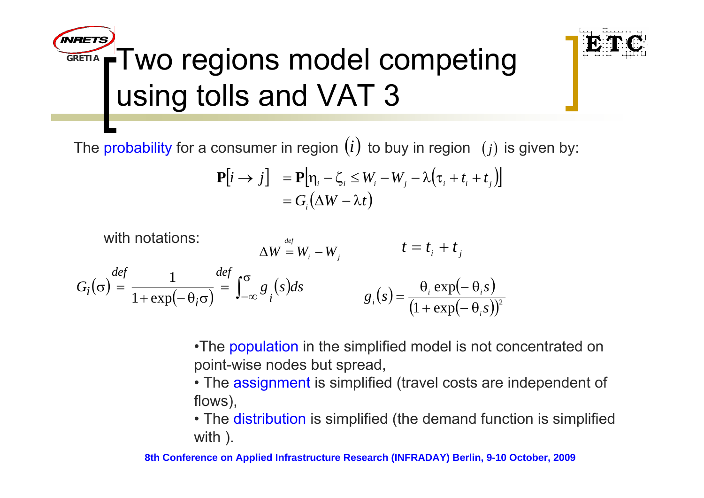#### **INRETS**  $\mathbf{A}_\mathbf{r}$ Two regions model competing **GRETIA**using tolls and VAT 3



The probability for a consumer in region  $\left( i\right)$  to buy in region  $\left( j\right)$  is given by:

$$
\mathbf{P}[i \to j] = \mathbf{P}[\eta_i - \zeta_i \le W_i - W_j - \lambda(\tau_i + t_i + t_j)]
$$
  
=  $G_i(\Delta W - \lambda t)$ 

with notations: *i j def*  $\Delta W = W_i - W_j$   $t = t_i + t_j$  $G_i(\sigma) \stackrel{def}{=} \frac{1}{1 + \exp(-\theta_i \sigma)} \stackrel{def}{=} \int_{-\infty}^{\sigma} g_i(s) ds$   $g_i(s) = \frac{\theta_i \exp(-\theta_i s)}{(1 + \exp(-\theta_i s))^2}$ 

> •The population in the simplified model is not concentrated on point-wise nodes but spread,

- The assignment is simplified (travel costs are independent of flows),
- The distribution is simplified (the demand function is simplified with ).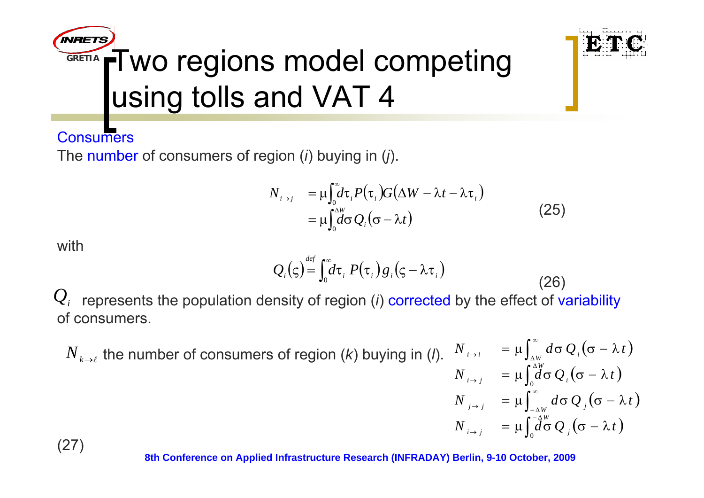



 $(26)$ 

**Consumers** 

The number of consumers of region (*i*) buying in (*j*).

$$
N_{i\to j} = \mu \int_0^{\infty} d\tau_i P(\tau_i) G(\Delta W - \lambda t - \lambda \tau_i)
$$
  
= 
$$
\mu \int_0^{\Delta W} d\sigma Q_i(\sigma - \lambda t)
$$
 (25)

with

$$
Q_i
$$
 represents the population density of region (*i*) corrected by the effect of variability of consumers.

 $Q_i(\varsigma) = \int_{\alpha}^{def} d\tau_i P(\tau_i) g_i(\varsigma - \lambda \tau_i)$ 

 $N_{k\to\ell}$  the number of consumers of region (*k*) buying in (*l*).  $N_{k\to\ell}$   $= \mu\int_{\Delta W}^\infty d\sigma \,Q_{k}(\sigma-\lambda\,t)$  $\int_0^{\Delta_W^W}\!\!\!\!\!\!d\sigma\,\mathcal{Q}_{_I}(\sigma-\lambda\,t\,)$  $\int_{-\wedge w}^{\infty}d\sigma \,Q_{_J}\big(\sigma-\lambda\,t\,\big)$  $\int_0^{\scriptscriptstyle -\Delta W} \!\!\!\!\! d \tilde{\sigma} \, Q_{_J}(\sigma - \lambda \, t \,)$  $\int_{0}^{\infty}$  $\mu_{\rightarrow i} = \mu \int_{\alpha}^{\Delta W} d \sigma \, Q_{i} (\sigma - \lambda)$  $j\rightarrow j$  = μ  $\int_{-\Delta W} d\sigma Q_j(\sigma - \lambda)$ →  $\mu_{i\to i}$  =  $\mu \int_{\Delta W} d\sigma \, Q_{i} (\sigma - \lambda)$  $=\mu\int^{\scriptscriptstyle\Delta W}\hspace{-1em}d\sigma\,\mathcal{Q}_{_I}(\sigma-\lambda)$  $N$   $_{i\rightarrow j}$   $=$   $\mu \int_{0}^{i} d\sigma \, Q$   $_{j}$   $(\sigma - \lambda t)$  $N$   $_{i\rightarrow j}$   $=$   $\mu \int_{0}^{i} d\sigma \, Q$   $_{i}$   $(\sigma - \lambda t)$  $N_{i\rightarrow i}$  =  $\mu$  |  $d\sigma Q_i(\sigma - \lambda t)$  $N_{i\rightarrow i}$  =  $\mu$  |  $d\sigma Q_i(\sigma - \lambda t)$ 

(27)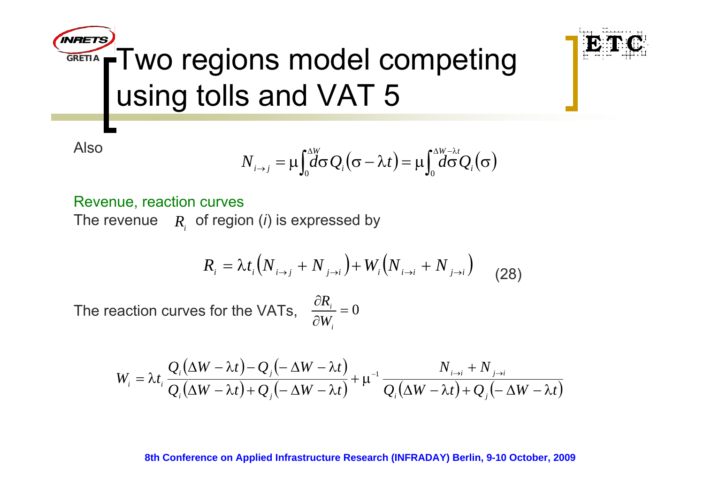

$$
N_{i\to j} = \mu \int_0^{\Delta W} d\sigma Q_i(\sigma - \lambda t) = \mu \int_0^{\Delta W - \lambda t} Q_i(\sigma)
$$

Revenue, reaction curves The revenue  $\quad$   $R_{_{i}}$  of region (*i*) is expressed by

$$
R_{i} = \lambda t_{i} \left( N_{i \to j} + N_{j \to i} \right) + W_{i} \left( N_{i \to i} + N_{j \to i} \right)
$$
 (28)

The reaction curves for the VATs,  $\frac{1}{2}$  = 0 ∂ ∂ *ii W R*

$$
W_i = \lambda t_i \frac{Q_i(\Delta W - \lambda t) - Q_j(-\Delta W - \lambda t)}{Q_i(\Delta W - \lambda t) + Q_j(-\Delta W - \lambda t)} + \mu^{-1} \frac{N_{i \to i} + N_{j \to i}}{Q_i(\Delta W - \lambda t) + Q_j(-\Delta W - \lambda t)}
$$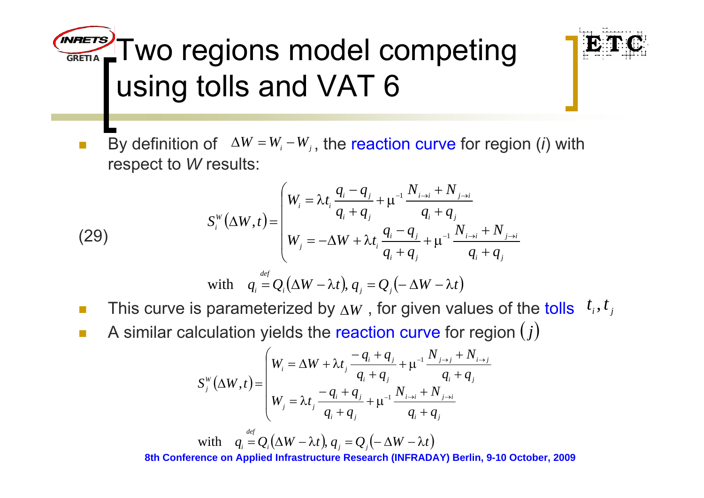**GRETIA** Two regions model competing using tolls and VAT 6



 $\overline{\phantom{a}}$ ■ By definition of  $\Delta W = W_i - W_j$ , the reaction curve for region (*i*) with respect to *W* results:

(29)  

$$
S_i^w(\Delta W, t) = \begin{cases} W_i = \lambda t_i \frac{q_i - q_j}{q_i + q_j} + \mu^{-1} \frac{N_{i \to i} + N_{j \to i}}{q_i + q_j} \\ W_j = -\Delta W + \lambda t_i \frac{q_i - q_j}{q_i + q_j} + \mu^{-1} \frac{N_{i \to i} + N_{j \to i}}{q_i + q_j} \end{cases}
$$
  
with  $q_i = Q_i(\Delta W - \lambda t), q_j = Q_j(-\Delta W - \lambda t)$ 

- $\mathcal{L}_{\mathcal{A}}$ ■ This curve is parameterized by ∆*W* , for given values of the tolls  $\,$   $^t$ <sub>*i*</sub>, $^t$ <sub>*j*</sub>
- $\mathcal{L}_{\mathcal{A}}$ **A** similar calculation yields the reaction curve for region  $(j)$

$$
S_j^W(\Delta W, t) = \begin{cases} W_i = \Delta W + \lambda t_j \frac{-q_i + q_j}{q_i + q_j} + \mu^{-1} \frac{N_{j \to j} + N_{i \to j}}{q_i + q_j} \\ W_j = \lambda t_j \frac{-q_i + q_j}{q_i + q_j} + \mu^{-1} \frac{N_{i \to i} + N_{j \to i}}{q_i + q_j} \end{cases}
$$

**8th Conference on Applied Infrastructure Research (INFRADAY) Berlin, 9-10 October, 2009**  $q_i = Q_i(\Delta W - \lambda t), q_j = Q_j(-\Delta W - \lambda t)$ *def* with  $q_i = Q_i(\Delta W - \lambda t), q_j = Q_j(-\Delta W - \lambda t)$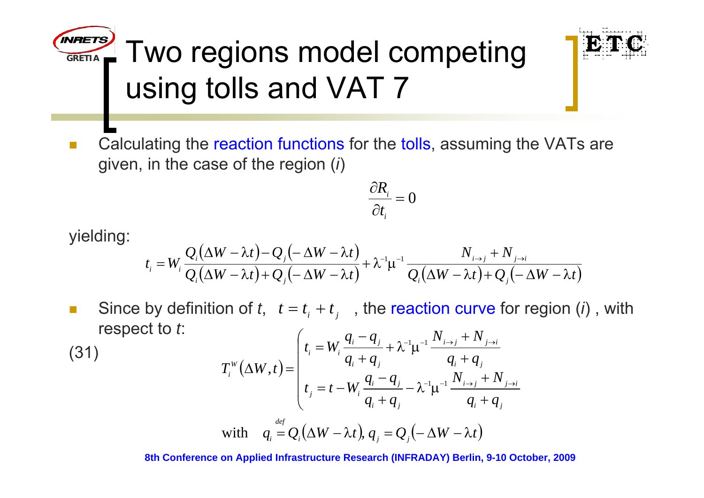**GRETIA** $\mathbb{Z}$  Two regions model competing using tolls and VAT 7



 $\overline{\phantom{a}}$  Calculating the reaction functions for the tolls, assuming the VATs are given, in the case of the region (*i*)

$$
\frac{\partial R_i}{\partial t_i} = 0
$$

yielding:

$$
t_i = W_i \frac{Q_i(\Delta W - \lambda t) - Q_j(-\Delta W - \lambda t)}{Q_i(\Delta W - \lambda t) + Q_j(-\Delta W - \lambda t)} + \lambda^{-1} \mu^{-1} \frac{N_{i \to j} + N_{j \to i}}{Q_i(\Delta W - \lambda t) + Q_j(-\Delta W - \lambda t)}
$$

**In s** Since by definition of  $t$ ,  $t = t$ <sub>i</sub> +  $t$ <sub>j</sub>, the reaction curve for region (*i*), with respect to *t*:

(31)  
\n
$$
T_i^w(\Delta W, t) = \begin{cases} t_i = W_i \frac{q_i - q_j}{q_i + q_j} + \lambda^{-1} \mu^{-1} \frac{N_{i \to j} + N_{j \to i}}{q_i + q_j} \\ t_j = t - W_i \frac{q_i - q_j}{q_i + q_j} - \lambda^{-1} \mu^{-1} \frac{N_{i \to j} + N_{j \to i}}{q_i + q_j} \\ W_i^{\text{diff}} = Q_i(\Delta W - \lambda t), q_j = Q_j(-\Delta W - \lambda t) \end{cases}
$$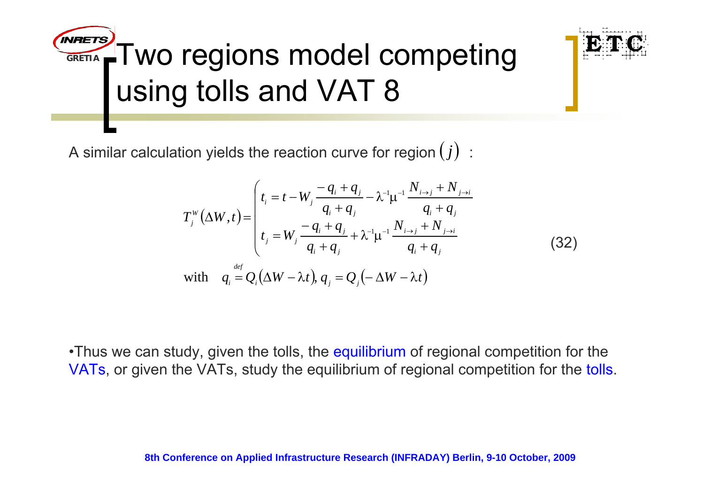**GRETIA** $\curvearrowleft$  Two regions model competing using tolls and VAT 8

A similar calculation yields the reaction curve for region  $\left( j\right)$  :

$$
T_j^W(\Delta W, t) = \begin{pmatrix} t_i = t - W_j \frac{-q_i + q_j}{q_i + q_j} - \lambda^{-1} \mu^{-1} \frac{N_{i \to j} + N_{j \to i}}{q_i + q_j} \\ t_j = W_j \frac{-q_i + q_j}{q_i + q_j} + \lambda^{-1} \mu^{-1} \frac{N_{i \to j} + N_{j \to i}}{q_i + q_j} \end{pmatrix}
$$
  
with  $q_i = Q_i(\Delta W - \lambda t), q_j = Q_j(-\Delta W - \lambda t)$  (32)

•Thus we can study, given the tolls, the equilibrium of regional competition for the VATs, or given the VATs, study the equilibrium of regional competition for the tolls.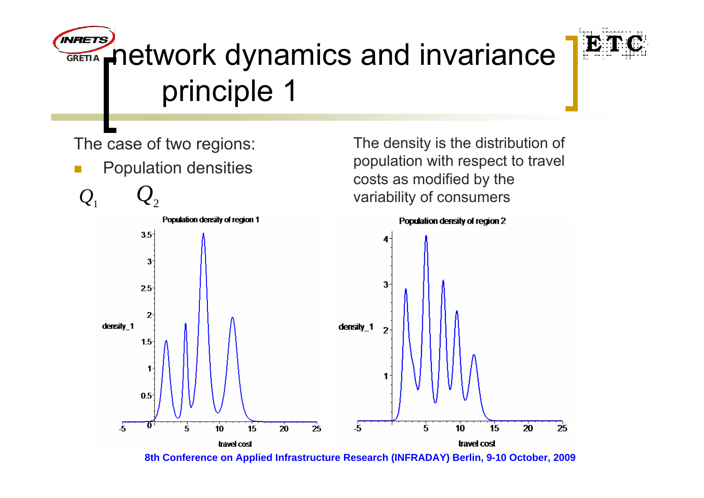#### **INRETS A** network dynamics and invariance **GRETIA**principle 1



The case of two regions:

 $\Box$ Population densities

The density is the distribution of population with respect to travel costs as modified by the variability of consumers

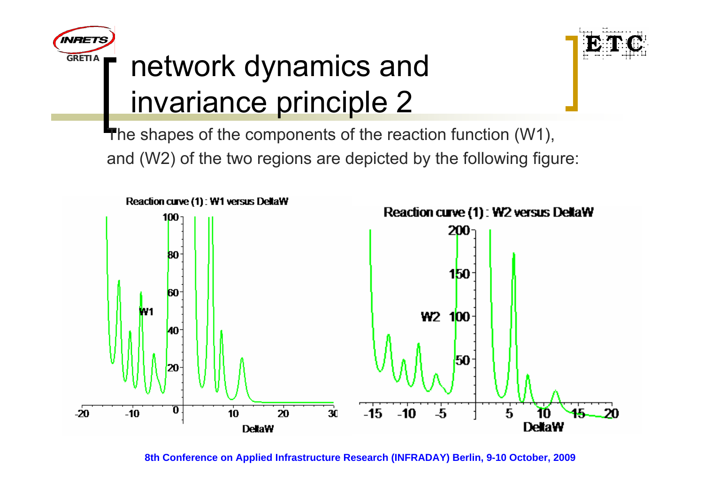





The shapes of the components of the reaction function (W1), and (W2) of the two regions are depicted by the following figure:

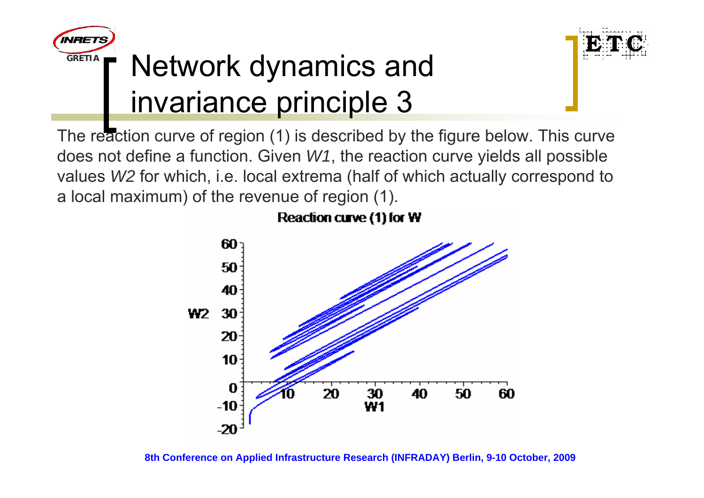



### **T** Network dynamics and invariance principle 3

The reaction curve of region (1) is described by the figure below. This curve does not define a function. Given *W1*, the reaction curve yields all possible values *W2* for which, i.e. local extrema (half of which actually correspond to a local maximum) of the revenue of region (1).



Reaction curve (1) for W

**8th Conference on Applied Infrastructure Research (INFRADAY) Berlin, 9-10 October, 2009**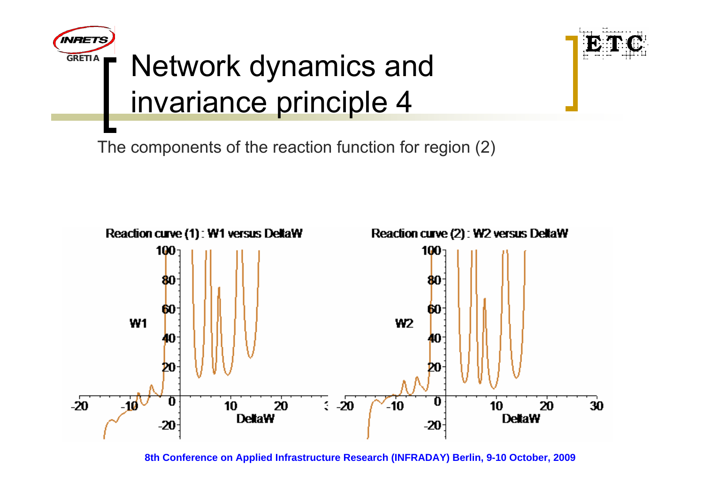

### **T** Network dynamics and invariance principle 4



The components of the reaction function for region (2)

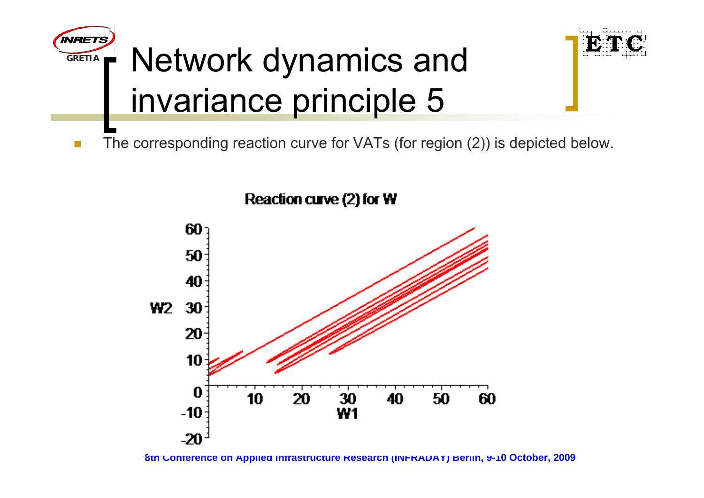



F The corresponding reaction curve for VATs (for region (2)) is depicted below.



Reaction curve (2) for W

**<sup>8</sup>th Conference on Applied Infrastructure Research (INFRADAY) Berlin, 9-10 October, 2009**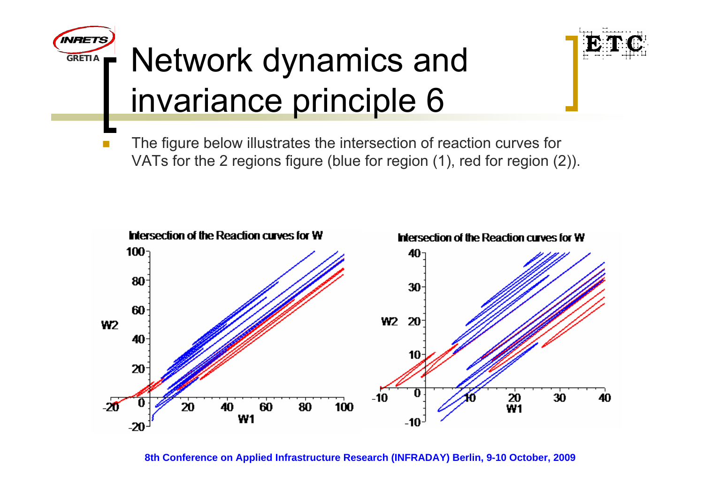



## **T** Network dynamics and invariance principle 6

F The figure below illustrates the intersection of reaction curves for VATs for the 2 regions figure (blue for region (1), red for region (2)).

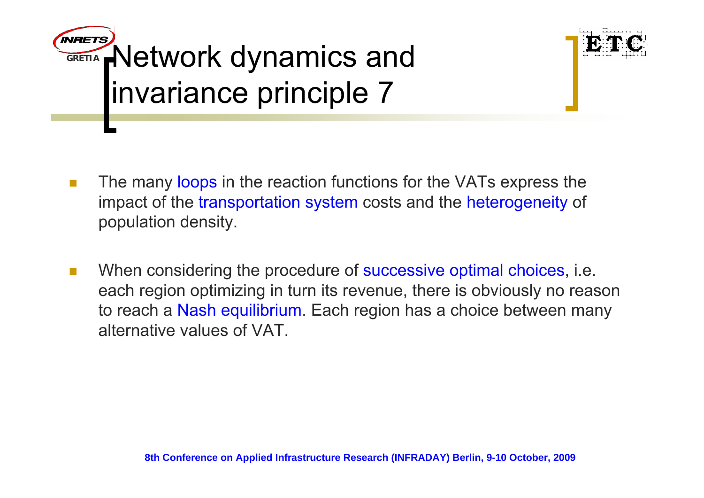



- $\mathbf{r}$ The many loops in the reaction functions for the VATs express the impact of the transportation system costs and the heterogeneity of population density.
- $\overline{\phantom{a}}$ When considering the procedure of successive optimal choices, i.e. each region optimizing in turn its revenue, there is obviously no reason to reach a Nash equilibrium. Each region has a choice between many alternative values of VAT.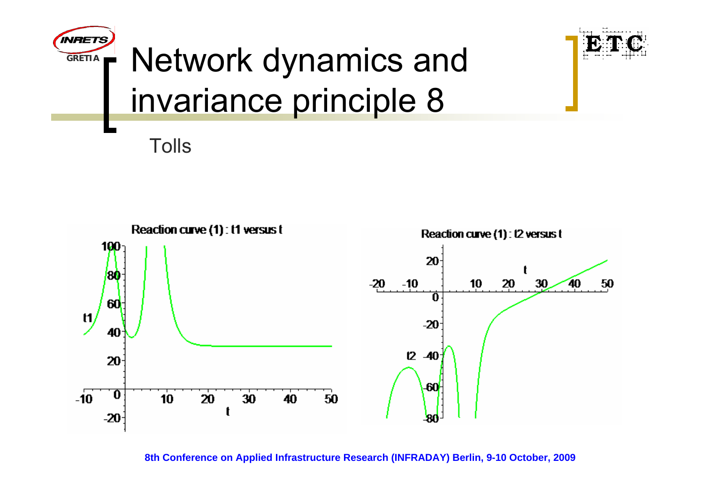

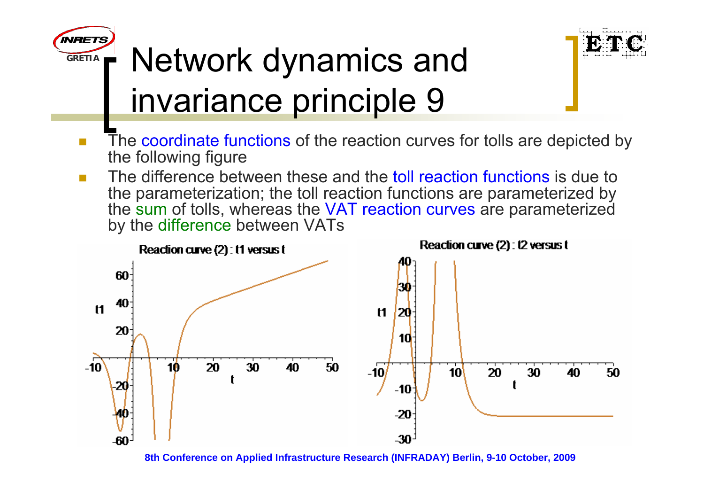





- Π The coordinate functions of the reaction curves for tolls are depicted by the following figure
- The difference between these and the toll reaction functions is due to the parameterization; the toll reaction functions are parameterized by the sum of tolls, whereas the VAT reaction curves are parameterized by the difference between VATs



**<sup>8</sup>th Conference on Applied Infrastructure Research (INFRADAY) Berlin, 9-10 October, 2009**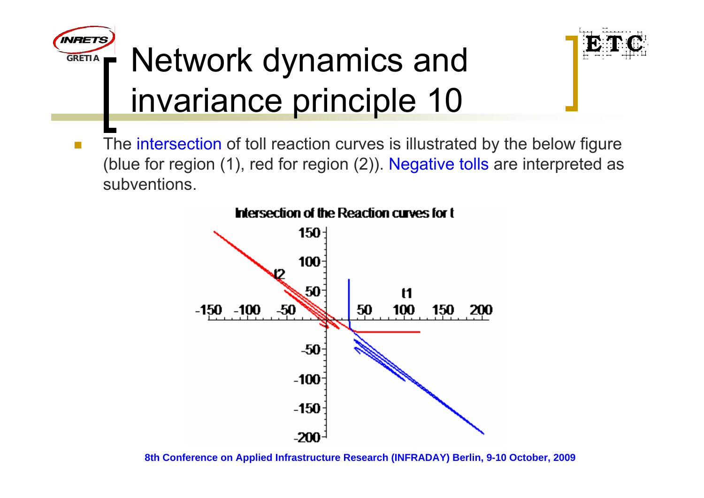

# **T** Network dynamics and invariance principle 10



 $\Box$  The intersection of toll reaction curves is illustrated by the below figure (blue for region (1), red for region (2)). Negative tolls are interpreted as subventions.



**Intersection of the Reaction curves for t** 

**8th Conference on Applied Infrastructure Research (INFRADAY) Berlin, 9-10 October, 2009**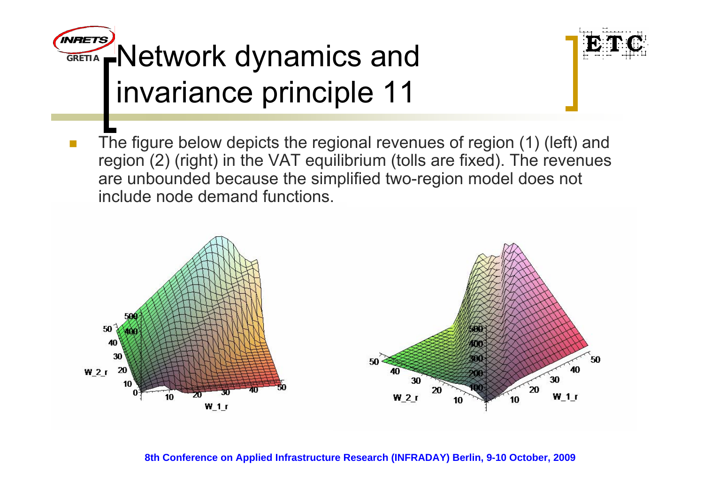



 $\overline{\phantom{a}}$  The figure below depicts the regional revenues of region (1) (left) and region (2) (right) in the VAT equilibrium (tolls are fixed). The revenues are unbounded because the simplified two-region model does not include node demand functions.

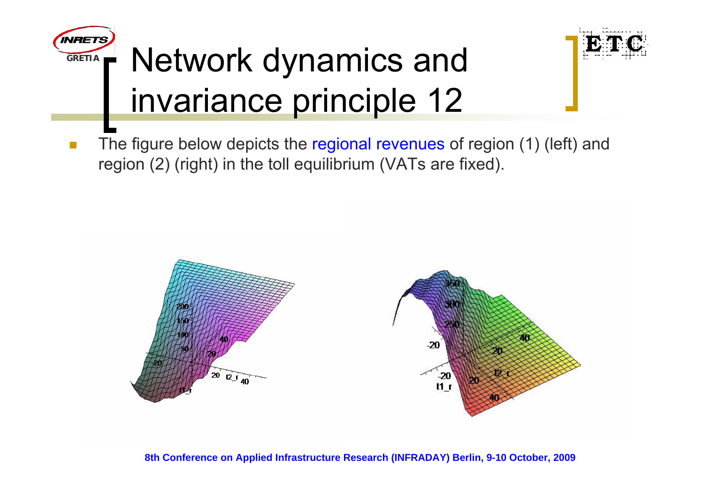

# **T** Network dynamics and invariance principle 12



 $\Box$  The figure below depicts the regional revenues of region (1) (left) and region (2) (right) in the toll equilibrium (VATs are fixed).

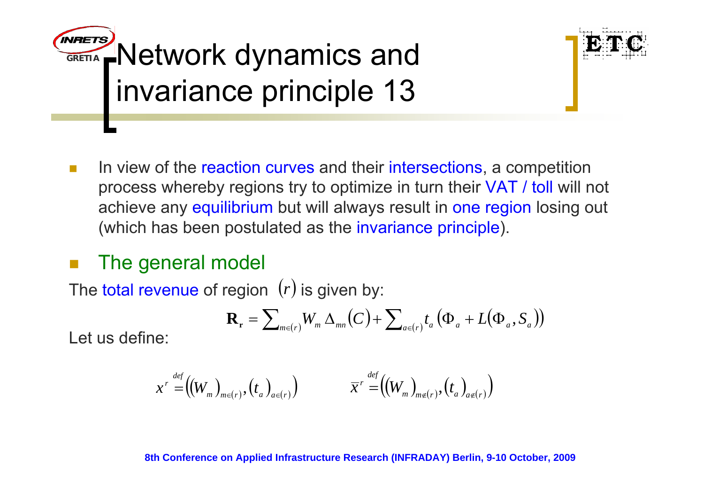



**The State** In view of the reaction curves and their intersections, a competition process whereby regions try to optimize in turn their VAT / toll will not achieve any equilibrium but will always result in one region losing out (which has been postulated as the invariance principle).

#### p. The general model

The total revenue of region  $\, (r)$  is given by:

$$
\mathbf{R}_{\mathbf{r}} = \sum_{m \in (r)} W_m \, \Delta_{mn} \big( C \big) + \sum_{a \in (r)} t_a \big( \Phi_a + L \big( \Phi_a, S_a \big) \big)
$$

Let us define:

$$
x^r = ((W_m)_{m \in (r)}, (t_a)_{a \in (r)}) \qquad \overline{x}^r = ((W_m)_{m \notin (r)}, (t_a)_{a \notin (r)})
$$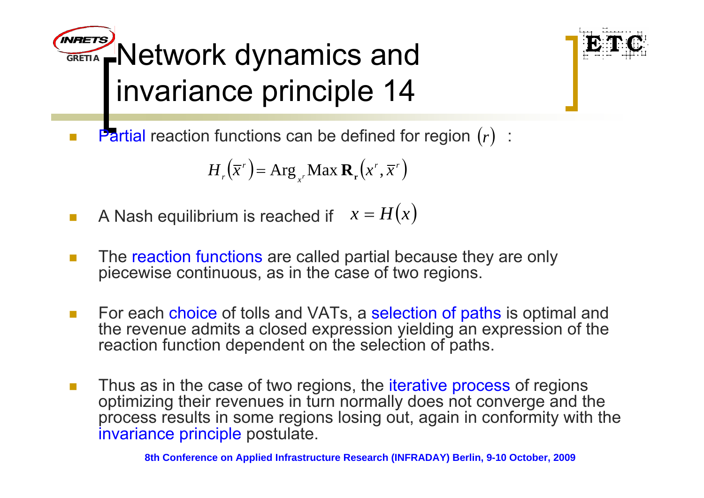**GRETIAA**Network dynamics and invariance principle 14



 $\mathcal{C}^{\mathcal{A}}$ **Partial reaction functions can be defined for region**  $(r)$  :

$$
H_r(\overline{x}^r) = \operatorname{Arg}_{x^r} \operatorname{Max} \mathbf{R}_r(x^r, \overline{x}^r)
$$

- $\mathcal{L}_{\mathcal{A}}$ **A** Nash equilibrium is reached if  $x = H(x)$
- $\mathcal{C}^{\mathcal{A}}$  The reaction functions are called partial because they are only piecewise continuous, as in the case of two regions.
- $\mathcal{L}_{\rm{eff}}$ For each choice of tolls and VATs, a selection of paths is optimal and the revenue admits a closed expression yielding an expression of the reaction function dependent on the selection of paths.
- $\sim$ Thus as in the case of two regions, the *iterative process* of regions optimizing their revenues in turn normally does not converge and the process results in some regions losing out, again in conformity with the invariance principle postulate.